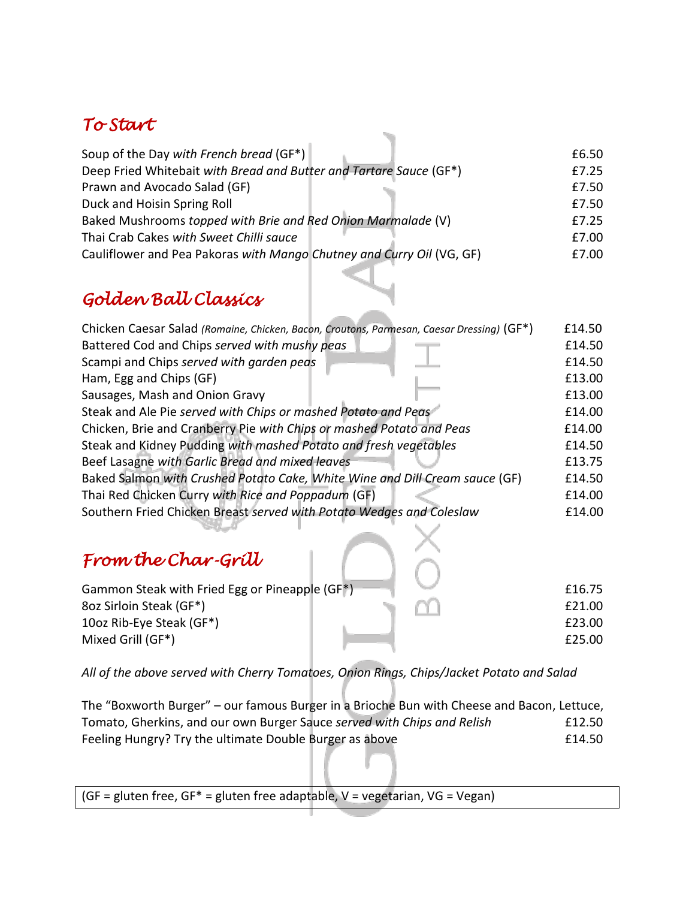## *To Start*

| Soup of the Day with French bread (GF*)                               | £6.50 |
|-----------------------------------------------------------------------|-------|
| Deep Fried Whitebait with Bread and Butter and Tartare Sauce (GF*)    | £7.25 |
| Prawn and Avocado Salad (GF)                                          | £7.50 |
| Duck and Hoisin Spring Roll                                           | £7.50 |
| Baked Mushrooms topped with Brie and Red Onion Marmalade (V)          | £7.25 |
| Thai Crab Cakes with Sweet Chilli sauce                               | £7.00 |
| Cauliflower and Pea Pakoras with Mango Chutney and Curry Oil (VG, GF) | £7.00 |
|                                                                       |       |

## *Golden Ball Classics*

| Chicken Caesar Salad (Romaine, Chicken, Bacon, Croutons, Parmesan, Caesar Dressing) (GF*) | £14.50 |
|-------------------------------------------------------------------------------------------|--------|
| Battered Cod and Chips served with mushy peas                                             | £14.50 |
| Scampi and Chips served with garden peas                                                  | £14.50 |
| Ham, Egg and Chips (GF)                                                                   | £13.00 |
| Sausages, Mash and Onion Gravy                                                            | £13.00 |
| Steak and Ale Pie served with Chips or mashed Potato and Peas                             | £14.00 |
| Chicken, Brie and Cranberry Pie with Chips or mashed Potato and Peas                      | £14.00 |
| Steak and Kidney Pudding with mashed Potato and fresh vegetables                          | £14.50 |
| Beef Lasagne with Garlic Bread and mixed leaves                                           | £13.75 |
| Baked Salmon with Crushed Potato Cake, White Wine and Dill Cream sauce (GF)               | £14.50 |
| Thai Red Chicken Curry with Rice and Poppadum (GF)                                        | £14.00 |
| Southern Fried Chicken Breast served with Potato Wedges and Coleslaw                      | £14.00 |

## *From the Char-Grill*

| Gammon Steak with Fried Egg or Pineapple (GF*) |  | £16.75 |
|------------------------------------------------|--|--------|
| 8oz Sirloin Steak (GF*)                        |  | £21.00 |
| 10oz Rib-Eye Steak (GF*)                       |  | £23.00 |
| Mixed Grill (GF*)                              |  | £25.00 |

*All of the above served with Cherry Tomatoes, Onion Rings, Chips/Jacket Potato and Salad*

The "Boxworth Burger" – our famous Burger in a Brioche Bun with Cheese and Bacon, Lettuce, Tomato, Gherkins, and our own Burger Sauce *served with Chips and Relish* £12.50 Feeling Hungry? Try the ultimate Double Burger as above **EXALL EXALL** E14.50

(GF = gluten free, GF\* = gluten free adaptable,  $V =$  vegetarian, VG = Vegan)